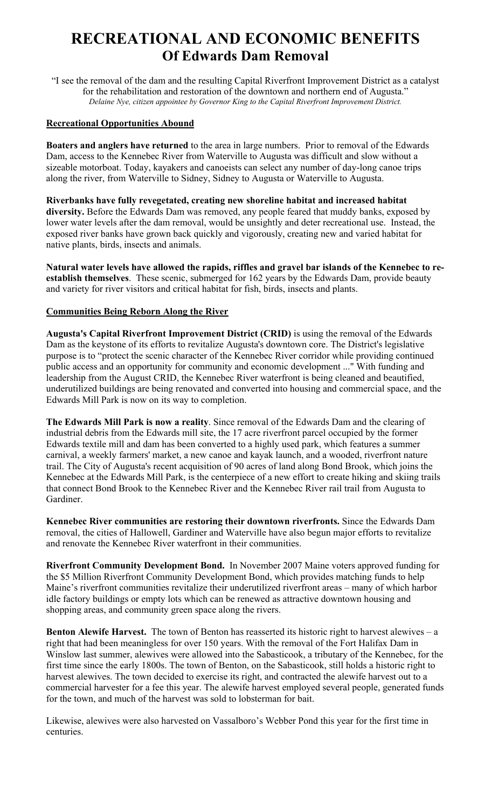# **RECREATIONAL AND ECONOMIC BENEFITS Of Edwards Dam Removal**

"I see the removal of the dam and the resulting Capital Riverfront Improvement District as a catalyst for the rehabilitation and restoration of the downtown and northern end of Augusta." *Delaine Nye, citizen appointee by Governor King to the Capital Riverfront Improvement District.* 

### **Recreational Opportunities Abound**

**Boaters and anglers have returned** to the area in large numbers. Prior to removal of the Edwards Dam, access to the Kennebec River from Waterville to Augusta was difficult and slow without a sizeable motorboat. Today, kayakers and canoeists can select any number of day-long canoe trips along the river, from Waterville to Sidney, Sidney to Augusta or Waterville to Augusta.

**Riverbanks have fully revegetated, creating new shoreline habitat and increased habitat diversity.** Before the Edwards Dam was removed, any people feared that muddy banks, exposed by lower water levels after the dam removal, would be unsightly and deter recreational use. Instead, the exposed river banks have grown back quickly and vigorously, creating new and varied habitat for native plants, birds, insects and animals.

**Natural water levels have allowed the rapids, riffles and gravel bar islands of the Kennebec to reestablish themselves**. These scenic, submerged for 162 years by the Edwards Dam, provide beauty and variety for river visitors and critical habitat for fish, birds, insects and plants.

#### **Communities Being Reborn Along the River**

**Augusta's Capital Riverfront Improvement District (CRID)** is using the removal of the Edwards Dam as the keystone of its efforts to revitalize Augusta's downtown core. The District's legislative purpose is to "protect the scenic character of the Kennebec River corridor while providing continued public access and an opportunity for community and economic development ..." With funding and leadership from the August CRID, the Kennebec River waterfront is being cleaned and beautified, underutilized buildings are being renovated and converted into housing and commercial space, and the Edwards Mill Park is now on its way to completion.

**The Edwards Mill Park is now a reality**. Since removal of the Edwards Dam and the clearing of industrial debris from the Edwards mill site, the 17 acre riverfront parcel occupied by the former Edwards textile mill and dam has been converted to a highly used park, which features a summer carnival, a weekly farmers' market, a new canoe and kayak launch, and a wooded, riverfront nature trail. The City of Augusta's recent acquisition of 90 acres of land along Bond Brook, which joins the Kennebec at the Edwards Mill Park, is the centerpiece of a new effort to create hiking and skiing trails that connect Bond Brook to the Kennebec River and the Kennebec River rail trail from Augusta to Gardiner.

**Kennebec River communities are restoring their downtown riverfronts.** Since the Edwards Dam removal, the cities of Hallowell, Gardiner and Waterville have also begun major efforts to revitalize and renovate the Kennebec River waterfront in their communities.

**Riverfront Community Development Bond.** In November 2007 Maine voters approved funding for the \$5 Million Riverfront Community Development Bond, which provides matching funds to help Maine's riverfront communities revitalize their underutilized riverfront areas – many of which harbor idle factory buildings or empty lots which can be renewed as attractive downtown housing and shopping areas, and community green space along the rivers.

**Benton Alewife Harvest.** The town of Benton has reasserted its historic right to harvest alewives – a right that had been meaningless for over 150 years. With the removal of the Fort Halifax Dam in Winslow last summer, alewives were allowed into the Sabasticook, a tributary of the Kennebec, for the first time since the early 1800s. The town of Benton, on the Sabasticook, still holds a historic right to harvest alewives. The town decided to exercise its right, and contracted the alewife harvest out to a commercial harvester for a fee this year. The alewife harvest employed several people, generated funds for the town, and much of the harvest was sold to lobsterman for bait.

Likewise, alewives were also harvested on Vassalboro's Webber Pond this year for the first time in centuries.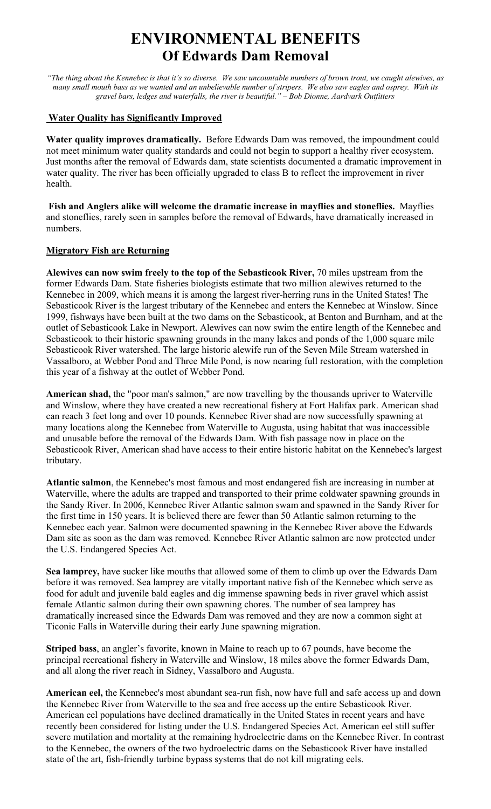# **ENVIRONMENTAL BENEFITS Of Edwards Dam Removal**

*"The thing about the Kennebec is that it's so diverse. We saw uncountable numbers of brown trout, we caught alewives, as many small mouth bass as we wanted and an unbelievable number of stripers. We also saw eagles and osprey. With its gravel bars, ledges and waterfalls, the river is beautiful." – Bob Dionne, Aardvark Outfitters*

#### **Water Quality has Significantly Improved**

**Water quality improves dramatically.** Before Edwards Dam was removed, the impoundment could not meet minimum water quality standards and could not begin to support a healthy river ecosystem. Just months after the removal of Edwards dam, state scientists documented a dramatic improvement in water quality. The river has been officially upgraded to class B to reflect the improvement in river health.

 **Fish and Anglers alike will welcome the dramatic increase in mayflies and stoneflies.** Mayflies and stoneflies, rarely seen in samples before the removal of Edwards, have dramatically increased in numbers.

### **Migratory Fish are Returning**

**Alewives can now swim freely to the top of the Sebasticook River,** 70 miles upstream from the former Edwards Dam. State fisheries biologists estimate that two million alewives returned to the Kennebec in 2009, which means it is among the largest river-herring runs in the United States! The Sebasticook River is the largest tributary of the Kennebec and enters the Kennebec at Winslow. Since 1999, fishways have been built at the two dams on the Sebasticook, at Benton and Burnham, and at the outlet of Sebasticook Lake in Newport. Alewives can now swim the entire length of the Kennebec and Sebasticook to their historic spawning grounds in the many lakes and ponds of the 1,000 square mile Sebasticook River watershed. The large historic alewife run of the Seven Mile Stream watershed in Vassalboro, at Webber Pond and Three Mile Pond, is now nearing full restoration, with the completion this year of a fishway at the outlet of Webber Pond.

**American shad,** the "poor man's salmon," are now travelling by the thousands upriver to Waterville and Winslow, where they have created a new recreational fishery at Fort Halifax park. American shad can reach 3 feet long and over 10 pounds. Kennebec River shad are now successfully spawning at many locations along the Kennebec from Waterville to Augusta, using habitat that was inaccessible and unusable before the removal of the Edwards Dam. With fish passage now in place on the Sebasticook River, American shad have access to their entire historic habitat on the Kennebec's largest tributary.

**Atlantic salmon**, the Kennebec's most famous and most endangered fish are increasing in number at Waterville, where the adults are trapped and transported to their prime coldwater spawning grounds in the Sandy River. In 2006, Kennebec River Atlantic salmon swam and spawned in the Sandy River for the first time in 150 years. It is believed there are fewer than 50 Atlantic salmon returning to the Kennebec each year. Salmon were documented spawning in the Kennebec River above the Edwards Dam site as soon as the dam was removed. Kennebec River Atlantic salmon are now protected under the U.S. Endangered Species Act.

**Sea lamprey,** have sucker like mouths that allowed some of them to climb up over the Edwards Dam before it was removed. Sea lamprey are vitally important native fish of the Kennebec which serve as food for adult and juvenile bald eagles and dig immense spawning beds in river gravel which assist female Atlantic salmon during their own spawning chores. The number of sea lamprey has dramatically increased since the Edwards Dam was removed and they are now a common sight at Ticonic Falls in Waterville during their early June spawning migration.

**Striped bass**, an angler's favorite, known in Maine to reach up to 67 pounds, have become the principal recreational fishery in Waterville and Winslow, 18 miles above the former Edwards Dam, and all along the river reach in Sidney, Vassalboro and Augusta.

**American eel,** the Kennebec's most abundant sea-run fish, now have full and safe access up and down the Kennebec River from Waterville to the sea and free access up the entire Sebasticook River. American eel populations have declined dramatically in the United States in recent years and have recently been considered for listing under the U.S. Endangered Species Act. American eel still suffer severe mutilation and mortality at the remaining hydroelectric dams on the Kennebec River. In contrast to the Kennebec, the owners of the two hydroelectric dams on the Sebasticook River have installed state of the art, fish-friendly turbine bypass systems that do not kill migrating eels.